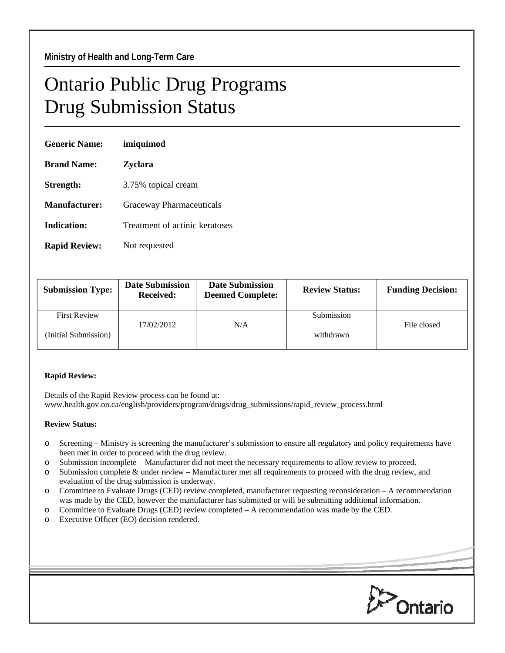## Ontario Public Drug Programs Drug Submission Status

| <b>Generic Name:</b> | imiquimod                       |  |
|----------------------|---------------------------------|--|
| <b>Brand Name:</b>   | Zvclara                         |  |
| Strength:            | 3.75% topical cream             |  |
| Manufacturer:        | <b>Graceway Pharmaceuticals</b> |  |
| <b>Indication:</b>   | Treatment of actinic keratoses  |  |
| <b>Rapid Review:</b> | Not requested                   |  |

| <b>Submission Type:</b> | <b>Date Submission</b><br><b>Received:</b> | <b>Date Submission</b><br><b>Deemed Complete:</b> | <b>Review Status:</b> | <b>Funding Decision:</b> |
|-------------------------|--------------------------------------------|---------------------------------------------------|-----------------------|--------------------------|
| <b>First Review</b>     |                                            |                                                   | Submission            |                          |
|                         | 17/02/2012                                 | N/A                                               |                       | File closed              |
| (Initial Submission)    |                                            |                                                   | withdrawn             |                          |
|                         |                                            |                                                   |                       |                          |

## **Rapid Review:**

Details of the Rapid Review process can be found at: www.health.gov.on.ca/english/providers/program/drugs/drug\_submissions/rapid\_review\_process.html

## **Review Status:**

- o Screening Ministry is screening the manufacturer's submission to ensure all regulatory and policy requirements have been met in order to proceed with the drug review.
- o Submission incomplete Manufacturer did not meet the necessary requirements to allow review to proceed.
- o Submission complete & under review Manufacturer met all requirements to proceed with the drug review, and evaluation of the drug submission is underway.
- o Committee to Evaluate Drugs (CED) review completed, manufacturer requesting reconsideration A recommendation was made by the CED, however the manufacturer has submitted or will be submitting additional information.
- o Committee to Evaluate Drugs (CED) review completed A recommendation was made by the CED.
- o Executive Officer (EO) decision rendered.